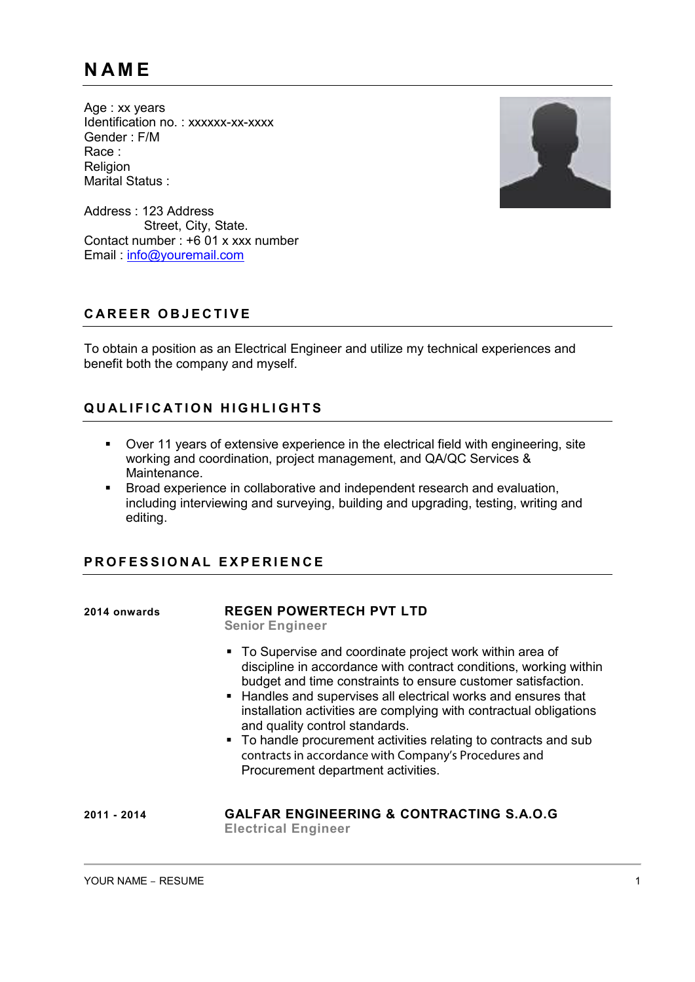Age : xx years Identification no.: xxxxxx-xx-xxxx Gender : F/M Race : Religion Marital Status :



Address : 123 Address Street, City, State. Contact number : +6 01 x xxx number Email : [info@youremail.com](mailto:info@youremail.com)

## **C A R E E R O B J E C T I V E**

To obtain a position as an Electrical Engineer and utilize my technical experiences and benefit both the company and myself.

# $Q$  **IQ ILLEICATION HIGHLIGHTS**

- Over 11 years of extensive experience in the electrical field with engineering, site working and coordination, project management, and QA/QC Services & Maintenance.
- Broad experience in collaborative and independent research and evaluation, including interviewing and surveying, building and upgrading, testing, writing and editing.

## **P R O F E S S I O N A L EXPE R I E N C E**

### **2014 onwards REGEN POWERTECH PVT LTD**

**Senior Engineer**

- To Supervise and coordinate project work within area of discipline in accordance with contract conditions, working within budget and time constraints to ensure customer satisfaction.
- Handles and supervises all electrical works and ensures that installation activities are complying with contractual obligations and quality control standards.
- To handle procurement activities relating to contracts and sub contracts in accordance with Company's Procedures and Procurement department activities.

#### **2011 - 2014 GALFAR ENGINEERING & CONTRACTING S.A.O.G Electrical Engineer**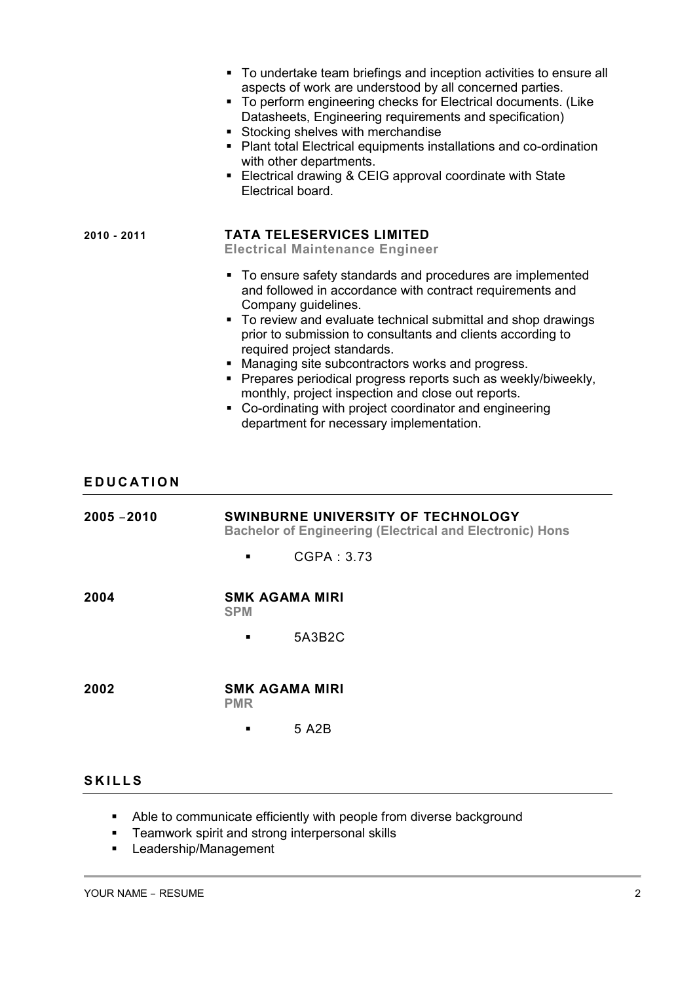|                  | • To undertake team briefings and inception activities to ensure all<br>aspects of work are understood by all concerned parties.<br>• To perform engineering checks for Electrical documents. (Like<br>Datasheets, Engineering requirements and specification)<br>Stocking shelves with merchandise<br>• Plant total Electrical equipments installations and co-ordination<br>with other departments.<br>• Electrical drawing & CEIG approval coordinate with State<br>Electrical board.                                                                                                             |
|------------------|------------------------------------------------------------------------------------------------------------------------------------------------------------------------------------------------------------------------------------------------------------------------------------------------------------------------------------------------------------------------------------------------------------------------------------------------------------------------------------------------------------------------------------------------------------------------------------------------------|
| 2010 - 2011      | <b>TATA TELESERVICES LIMITED</b><br><b>Electrical Maintenance Engineer</b>                                                                                                                                                                                                                                                                                                                                                                                                                                                                                                                           |
|                  | To ensure safety standards and procedures are implemented<br>and followed in accordance with contract requirements and<br>Company guidelines.<br>• To review and evaluate technical submittal and shop drawings<br>prior to submission to consultants and clients according to<br>required project standards.<br>• Managing site subcontractors works and progress.<br>• Prepares periodical progress reports such as weekly/biweekly,<br>monthly, project inspection and close out reports.<br>• Co-ordinating with project coordinator and engineering<br>department for necessary implementation. |
| <b>EDUCATION</b> |                                                                                                                                                                                                                                                                                                                                                                                                                                                                                                                                                                                                      |
| 2005 - 2010      | SWINBURNE UNIVERSITY OF TECHNOLOGY<br><b>Bachelor of Engineering (Electrical and Electronic) Hons</b>                                                                                                                                                                                                                                                                                                                                                                                                                                                                                                |
|                  | CGPA: 3.73                                                                                                                                                                                                                                                                                                                                                                                                                                                                                                                                                                                           |
| 2004             | <b>SMK AGAMA MIRI</b><br><b>SPM</b>                                                                                                                                                                                                                                                                                                                                                                                                                                                                                                                                                                  |
|                  | 5A3B2C                                                                                                                                                                                                                                                                                                                                                                                                                                                                                                                                                                                               |
|                  |                                                                                                                                                                                                                                                                                                                                                                                                                                                                                                                                                                                                      |
| 2002             | <b>SMK AGAMA MIRI</b><br><b>PMR</b>                                                                                                                                                                                                                                                                                                                                                                                                                                                                                                                                                                  |

## **S K I L L S**

- Able to communicate efficiently with people from diverse background
- **Teamwork spirit and strong interpersonal skills**
- **-** Leadership/Management